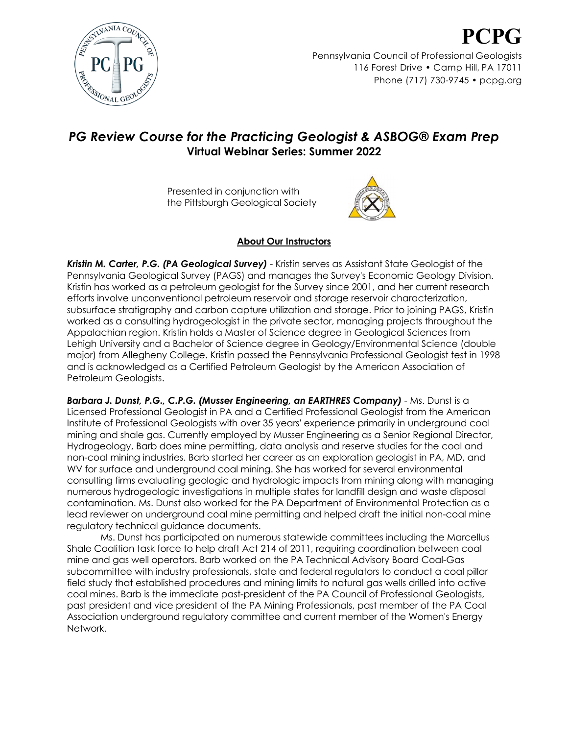

## *PG Review Course for the Practicing Geologist & ASBOG® Exam Prep* **Virtual Webinar Series: Summer 2022**

Presented in conjunction with the Pittsburgh Geological Society



## **About Our Instructors**

*Kristin M. Carter, P.G. (PA Geological Survey)* - Kristin serves as Assistant State Geologist of the Pennsylvania Geological Survey (PAGS) and manages the Survey's Economic Geology Division. Kristin has worked as a petroleum geologist for the Survey since 2001, and her current research efforts involve unconventional petroleum reservoir and storage reservoir characterization, subsurface stratigraphy and carbon capture utilization and storage. Prior to joining PAGS, Kristin worked as a consulting hydrogeologist in the private sector, managing projects throughout the Appalachian region. Kristin holds a Master of Science degree in Geological Sciences from Lehigh University and a Bachelor of Science degree in Geology/Environmental Science (double major) from Allegheny College. Kristin passed the Pennsylvania Professional Geologist test in 1998 and is acknowledged as a Certified Petroleum Geologist by the American Association of Petroleum Geologists.

*Barbara J. Dunst, P.G., C.P.G. (Musser Engineering, an EARTHRES Company)* - Ms. Dunst is a Licensed Professional Geologist in PA and a Certified Professional Geologist from the American Institute of Professional Geologists with over 35 years' experience primarily in underground coal mining and shale gas. Currently employed by Musser Engineering as a Senior Regional Director, Hydrogeology, Barb does mine permitting, data analysis and reserve studies for the coal and non-coal mining industries. Barb started her career as an exploration geologist in PA, MD, and WV for surface and underground coal mining. She has worked for several environmental consulting firms evaluating geologic and hydrologic impacts from mining along with managing numerous hydrogeologic investigations in multiple states for landfill design and waste disposal contamination. Ms. Dunst also worked for the PA Department of Environmental Protection as a lead reviewer on underground coal mine permitting and helped draft the initial non-coal mine regulatory technical guidance documents.

Ms. Dunst has participated on numerous statewide committees including the Marcellus Shale Coalition task force to help draft Act 214 of 2011, requiring coordination between coal mine and gas well operators. Barb worked on the PA Technical Advisory Board Coal-Gas subcommittee with industry professionals, state and federal regulators to conduct a coal pillar field study that established procedures and mining limits to natural gas wells drilled into active coal mines. Barb is the immediate past-president of the PA Council of Professional Geologists, past president and vice president of the PA Mining Professionals, past member of the PA Coal Association underground regulatory committee and current member of the Women's Energy Network.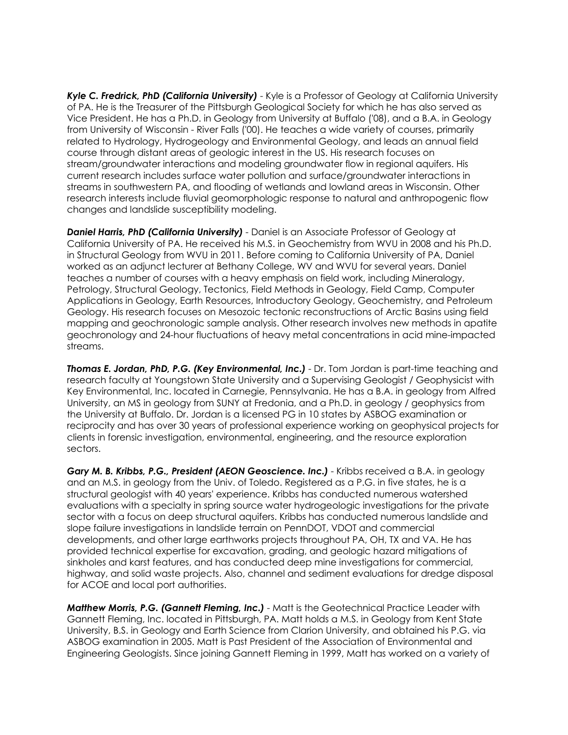*Kyle C. Fredrick, PhD (California University)* - Kyle is a Professor of Geology at California University of PA. He is the Treasurer of the Pittsburgh Geological Society for which he has also served as Vice President. He has a Ph.D. in Geology from University at Buffalo ('08), and a B.A. in Geology from University of Wisconsin - River Falls ('00). He teaches a wide variety of courses, primarily related to Hydrology, Hydrogeology and Environmental Geology, and leads an annual field course through distant areas of geologic interest in the US. His research focuses on stream/groundwater interactions and modeling groundwater flow in regional aquifers. His current research includes surface water pollution and surface/groundwater interactions in streams in southwestern PA, and flooding of wetlands and lowland areas in Wisconsin. Other research interests include fluvial geomorphologic response to natural and anthropogenic flow changes and landslide susceptibility modeling.

*Daniel Harris, PhD (California University)* - Daniel is an Associate Professor of Geology at California University of PA. He received his M.S. in Geochemistry from WVU in 2008 and his Ph.D. in Structural Geology from WVU in 2011. Before coming to California University of PA, Daniel worked as an adjunct lecturer at Bethany College, WV and WVU for several years. Daniel teaches a number of courses with a heavy emphasis on field work, including Mineralogy, Petrology, Structural Geology, Tectonics, Field Methods in Geology, Field Camp, Computer Applications in Geology, Earth Resources, Introductory Geology, Geochemistry, and Petroleum Geology. His research focuses on Mesozoic tectonic reconstructions of Arctic Basins using field mapping and geochronologic sample analysis. Other research involves new methods in apatite geochronology and 24-hour fluctuations of heavy metal concentrations in acid mine-impacted streams.

*Thomas E. Jordan, PhD, P.G. (Key Environmental, Inc.)* - Dr. Tom Jordan is part-time teaching and research faculty at Youngstown State University and a Supervising Geologist / Geophysicist with Key Environmental, Inc. located in Carnegie, Pennsylvania. He has a B.A. in geology from Alfred University, an MS in geology from SUNY at Fredonia, and a Ph.D. in geology / geophysics from the University at Buffalo. Dr. Jordan is a licensed PG in 10 states by ASBOG examination or reciprocity and has over 30 years of professional experience working on geophysical projects for clients in forensic investigation, environmental, engineering, and the resource exploration sectors.

*Gary M. B. Kribbs, P.G., President (AEON Geoscience. Inc.)* - Kribbs received a B.A. in geology and an M.S. in geology from the Univ. of Toledo. Registered as a P.G. in five states, he is a structural geologist with 40 years' experience. Kribbs has conducted numerous watershed evaluations with a specialty in spring source water hydrogeologic investigations for the private sector with a focus on deep structural aquifers. Kribbs has conducted numerous landslide and slope failure investigations in landslide terrain on PennDOT, VDOT and commercial developments, and other large earthworks projects throughout PA, OH, TX and VA. He has provided technical expertise for excavation, grading, and geologic hazard mitigations of sinkholes and karst features, and has conducted deep mine investigations for commercial, highway, and solid waste projects. Also, channel and sediment evaluations for dredge disposal for ACOE and local port authorities.

*Matthew Morris, P.G. (Gannett Fleming, Inc.)* - Matt is the Geotechnical Practice Leader with Gannett Fleming, Inc. located in Pittsburgh, PA. Matt holds a M.S. in Geology from Kent State University, B.S. in Geology and Earth Science from Clarion University, and obtained his P.G. via ASBOG examination in 2005. Matt is Past President of the Association of Environmental and Engineering Geologists. Since joining Gannett Fleming in 1999, Matt has worked on a variety of